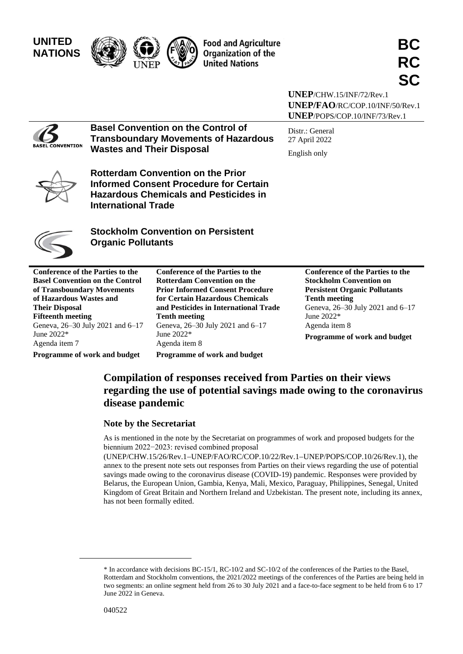

**UNEP**/CHW.15/INF/72/Rev.1 **UNEP/FAO**/RC/COP.10/INF/50/Rev.1 **UNEP**/POPS/COP.10/INF/73/Rev.1

Distr.: General 27 April 2022 English only

**BASEL CONVENTION** 

**Transboundary Movements of Hazardous Wastes and Their Disposal Rotterdam Convention on the Prior** 

**Basel Convention on the Control of** 



**Informed Consent Procedure for Certain Hazardous Chemicals and Pesticides in International Trade**

**Stockholm Convention on Persistent Organic Pollutants**

**Conference of the Parties to the Basel Convention on the Control of Transboundary Movements of Hazardous Wastes and Their Disposal Fifteenth meeting** Geneva, 26–30 July 2021 and 6–17 June 2022\* Agenda item 7 **Programme of work and budget**

**Prior Informed Consent Procedure for Certain Hazardous Chemicals and Pesticides in International Trade Tenth meeting** Geneva, 26–30 July 2021 and 6–17 June 2022\* Agenda item 8 **Programme of work and budget**

**Conference of the Parties to the Rotterdam Convention on the** 

**Conference of the Parties to the Stockholm Convention on Persistent Organic Pollutants Tenth meeting** Geneva, 26–30 July 2021 and 6–17 June 2022\* Agenda item 8 **Programme of work and budget**

# **Compilation of responses received from Parties on their views regarding the use of potential savings made owing to the coronavirus disease pandemic**

#### **Note by the Secretariat**

As is mentioned in the note by the Secretariat on programmes of work and proposed budgets for the biennium 2022−2023: revised combined proposal

(UNEP/CHW.15/26/Rev.1−UNEP/FAO/RC/COP.10/22/Rev.1−UNEP/POPS/COP.10/26/Rev.1), the annex to the present note sets out responses from Parties on their views regarding the use of potential savings made owing to the coronavirus disease (COVID-19) pandemic. Responses were provided by Belarus, the European Union, Gambia, Kenya, Mali, Mexico, Paraguay, Philippines, Senegal, United Kingdom of Great Britain and Northern Ireland and Uzbekistan. The present note, including its annex, has not been formally edited.

<sup>\*</sup> In accordance with decisions BC-15/1, RC-10/2 and SC-10/2 of the conferences of the Parties to the Basel, Rotterdam and Stockholm conventions, the 2021/2022 meetings of the conferences of the Parties are being held in two segments: an online segment held from 26 to 30 July 2021 and a face-to-face segment to be held from 6 to 17 June 2022 in Geneva.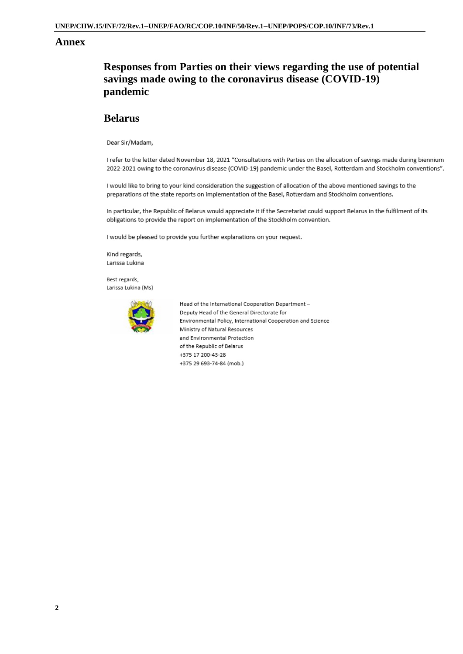#### **Annex**

# **Responses from Parties on their views regarding the use of potential savings made owing to the coronavirus disease (COVID-19) pandemic**

#### **Belarus**

Dear Sir/Madam.

I refer to the letter dated November 18, 2021 "Consultations with Parties on the allocation of savings made during biennium 2022-2021 owing to the coronavirus disease (COVID-19) pandemic under the Basel, Rotterdam and Stockholm conventions".

I would like to bring to your kind consideration the suggestion of allocation of the above mentioned savings to the preparations of the state reports on implementation of the Basel, Rotterdam and Stockholm conventions.

In particular, the Republic of Belarus would appreciate it if the Secretariat could support Belarus in the fulfilment of its obligations to provide the report on implementation of the Stockholm convention.

I would be pleased to provide you further explanations on your request.

Kind regards, Larissa Lukina

Best regards, Larissa Lukina (Ms)



Head of the International Cooperation Department -Deputy Head of the General Directorate for Environmental Policy, International Cooperation and Science Ministry of Natural Resources and Environmental Protection of the Republic of Belarus +375 17 200-43-28 +375 29 693-74-84 (mob.)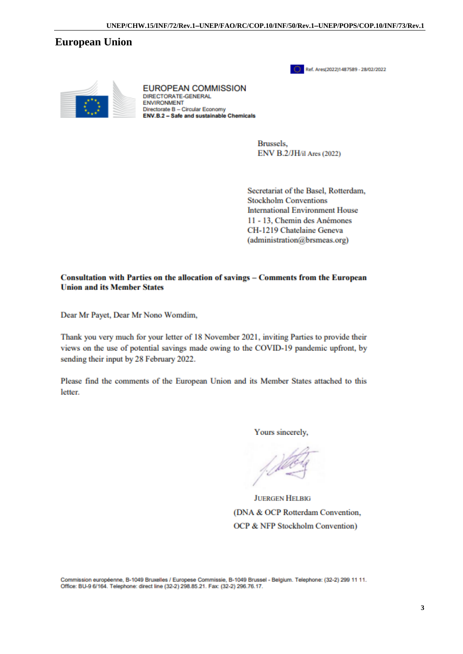UNEP/CHW.15/INF/72/Rev.1-UNEP/FAO/RC/COP.10/INF/50/Rev.1-UNEP/POPS/COP.10/INF/73/Rev.1

### **European Union**





**EUROPEAN COMMISSION** DIRECTORATE-GENERAL **ENVIRONMENT** Directorate B - Circular Economy ENV.B.2 - Safe and sustainable Chemicals

> **Brussels.** ENV B.2/JH/il Ares (2022)

Secretariat of the Basel, Rotterdam, **Stockholm Conventions International Environment House** 11 - 13. Chemin des Anémones CH-1219 Chatelaine Geneva  $(administration@brsmeas.org)$ 

#### Consultation with Parties on the allocation of savings – Comments from the European **Union and its Member States**

Dear Mr Payet, Dear Mr Nono Womdim,

Thank you very much for your letter of 18 November 2021, inviting Parties to provide their views on the use of potential savings made owing to the COVID-19 pandemic upfront, by sending their input by 28 February 2022.

Please find the comments of the European Union and its Member States attached to this letter.

Yours sincerely,

**JUERGEN HELBIG** (DNA & OCP Rotterdam Convention, OCP & NFP Stockholm Convention)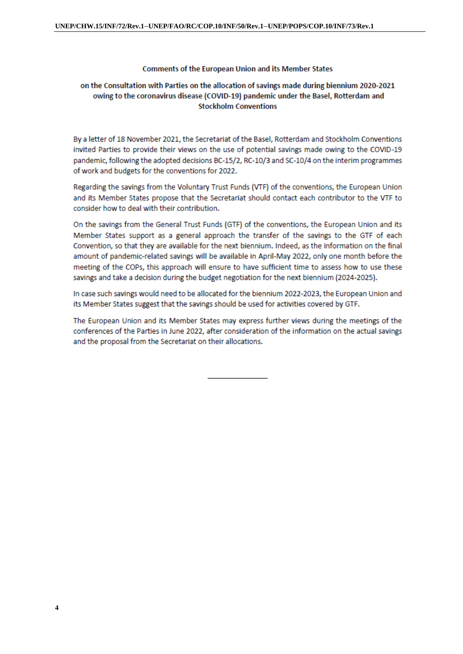#### **Comments of the European Union and its Member States**

#### on the Consultation with Parties on the allocation of savings made during biennium 2020-2021 owing to the coronavirus disease (COVID-19) pandemic under the Basel, Rotterdam and **Stockholm Conventions**

By a letter of 18 November 2021, the Secretariat of the Basel, Rotterdam and Stockholm Conventions invited Parties to provide their views on the use of potential savings made owing to the COVID-19 pandemic, following the adopted decisions BC-15/2, RC-10/3 and SC-10/4 on the interim programmes of work and budgets for the conventions for 2022.

Regarding the savings from the Voluntary Trust Funds (VTF) of the conventions, the European Union and its Member States propose that the Secretariat should contact each contributor to the VTF to consider how to deal with their contribution.

On the savings from the General Trust Funds (GTF) of the conventions, the European Union and its Member States support as a general approach the transfer of the savings to the GTF of each Convention, so that they are available for the next biennium. Indeed, as the information on the final amount of pandemic-related savings will be available in April-May 2022, only one month before the meeting of the COPs, this approach will ensure to have sufficient time to assess how to use these savings and take a decision during the budget negotiation for the next biennium (2024-2025).

In case such savings would need to be allocated for the biennium 2022-2023, the European Union and its Member States suggest that the savings should be used for activities covered by GTF.

The European Union and its Member States may express further views during the meetings of the conferences of the Parties in June 2022, after consideration of the information on the actual savings and the proposal from the Secretariat on their allocations.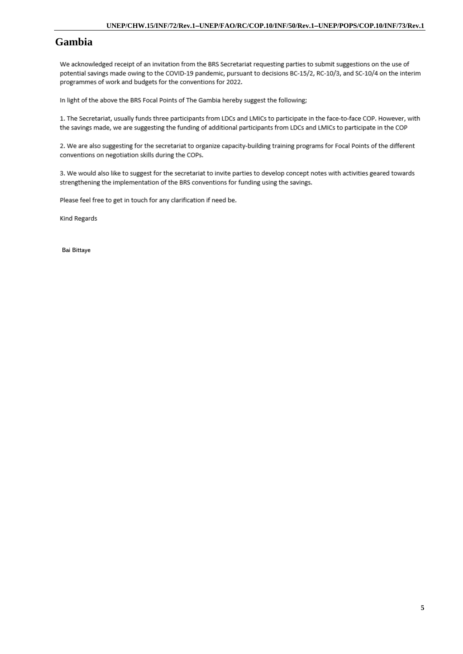## **Gambia**

We acknowledged receipt of an invitation from the BRS Secretariat requesting parties to submit suggestions on the use of potential savings made owing to the COVID-19 pandemic, pursuant to decisions BC-15/2, RC-10/3, and SC-10/4 on the interim programmes of work and budgets for the conventions for 2022.

In light of the above the BRS Focal Points of The Gambia hereby suggest the following;

1. The Secretariat, usually funds three participants from LDCs and LMICs to participate in the face-to-face COP. However, with the savings made, we are suggesting the funding of additional participants from LDCs and LMICs to participate in the COP

2. We are also suggesting for the secretariat to organize capacity-building training programs for Focal Points of the different conventions on negotiation skills during the COPs.

3. We would also like to suggest for the secretariat to invite parties to develop concept notes with activities geared towards strengthening the implementation of the BRS conventions for funding using the savings.

Please feel free to get in touch for any clarification if need be.

Kind Regards

Bai Bittaye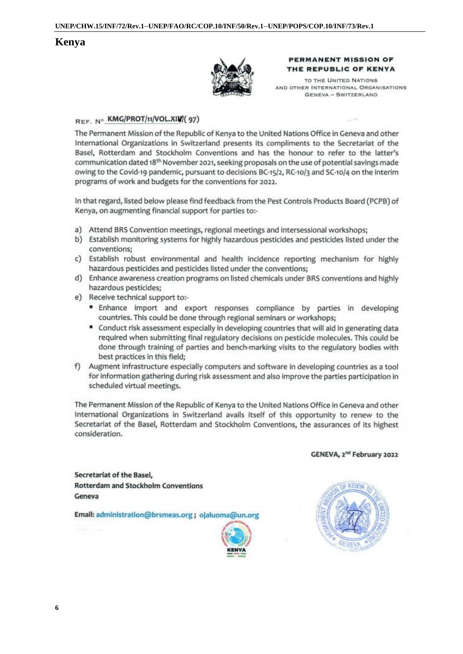### Kenya



#### PERMANENT MISSION OF THE REPUBLIC OF KENYA

TO THE UNITED NATIONS AND OTHER INTERNATIONAL ORGANISATIONS GENEVA - SWITZERLAND

#### REF. Nº KMG/PROT/11/VOL.XIV/(97)

The Permanent Mission of the Republic of Kenya to the United Nations Office in Geneva and other International Organizations in Switzerland presents its compliments to the Secretariat of the Basel, Rotterdam and Stockholm Conventions and has the honour to refer to the latter's communication dated 18<sup>th</sup> November 2021, seeking proposals on the use of potential savings made owing to the Covid-19 pandemic, pursuant to decisions BC-15/2, RC-10/3 and SC-10/4 on the interim programs of work and budgets for the conventions for 2022.

In that regard, listed below please find feedback from the Pest Controls Products Board (PCPB) of Kenya, on augmenting financial support for parties to:-

- a) Attend BRS Convention meetings, regional meetings and intersessional workshops;
- b) Establish monitoring systems for highly hazardous pesticides and pesticides listed under the conventions:
- c) Establish robust environmental and health incidence reporting mechanism for highly hazardous pesticides and pesticides listed under the conventions;
- d) Enhance awareness creation programs on listed chemicals under BRS conventions and highly hazardous pesticides:
- e) Receive technical support to:-
	- " Enhance import and export responses compliance by parties in developing countries. This could be done through regional seminars or workshops;
	- " Conduct risk assessment especially in developing countries that will aid in generating data required when submitting final regulatory decisions on pesticide molecules. This could be done through training of parties and bench-marking visits to the regulatory bodies with best practices in this field;
- f) Augment infrastructure especially computers and software in developing countries as a tool for information gathering during risk assessment and also improve the parties participation in scheduled virtual meetings.

The Permanent Mission of the Republic of Kenya to the United Nations Office in Geneva and other International Organizations in Switzerland avails itself of this opportunity to renew to the Secretariat of the Basel, Rotterdam and Stockholm Conventions, the assurances of its highest consideration.

GENEVA, 2<sup>nd</sup> February 2022

Secretariat of the Basel, **Rotterdam and Stockholm Conventions** Geneva

Email: administration@brsmeas.org; ojaluoma@un.org



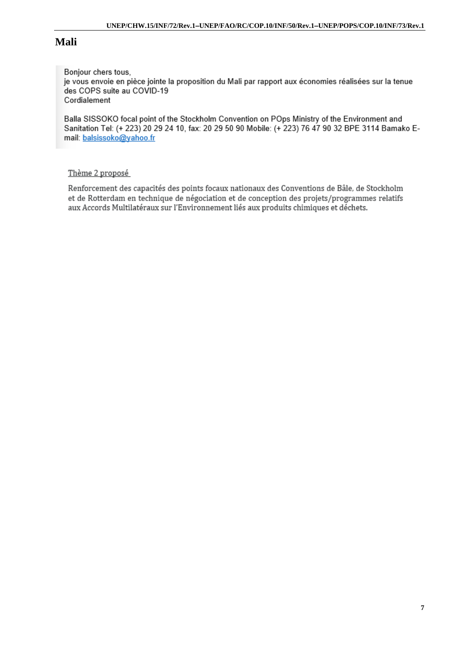# **Mali**

Bonjour chers tous, je vous envoie en pièce jointe la proposition du Mali par rapport aux économies réalisées sur la tenue des COPS suite au COVID-19 Cordialement

Balla SISSOKO focal point of the Stockholm Convention on POps Ministry of the Environment and Sanitation Tel: (+ 223) 20 29 24 10, fax: 20 29 50 90 Mobile: (+ 223) 76 47 90 32 BPE 3114 Bamako Email: balsissoko@yahoo.fr

### Thème 2 proposé

Renforcement des capacités des points focaux nationaux des Conventions de Bâle, de Stockholm et de Rotterdam en technique de négociation et de conception des projets/programmes relatifs aux Accords Multilatéraux sur l'Environnement liés aux produits chimiques et déchets.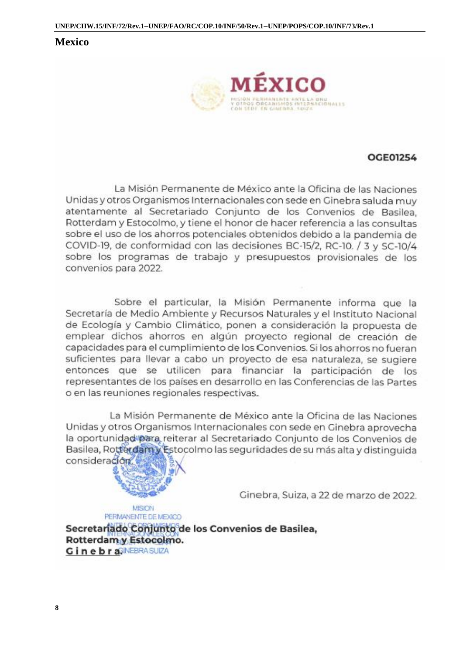### **Mexico**



## **OCE01254**

La Misión Permanente de México ante la Oficina de las Naciones Unidas y otros Organismos Internacionales con sede en Ginebra saluda muy atentamente al Secretariado Conjunto de los Convenios de Basilea, Rotterdam y Estocolmo, y tiene el honor de hacer referencia a las consultas sobre el uso de los ahorros potenciales obtenidos debido a la pandemia de COVID-19, de conformidad con las decisiones BC-15/2, RC-10, / 3 y SC-10/4 sobre los programas de trabajo y presupuestos provisionales de los convenios para 2022.

Sobre el particular, la Misión Permanente informa que la Secretaría de Medio Ambiente y Recursos Naturales y el Instituto Nacional de Ecología y Cambio Climático, ponen a consideración la propuesta de emplear dichos ahorros en algún proyecto regional de creación de capacidades para el cumplimiento de los Convenios. Si los ahorros no fueran suficientes para llevar a cabo un proyecto de esa naturaleza, se sugiere entonces que se utilicen para financiar la participación de los representantes de los países en desarrollo en las Conferencias de las Partes o en las reuniones regionales respectivas.

La Misión Permanente de México ante la Oficina de las Naciones Unidas y otros Organismos Internacionales con sede en Ginebra aprovecha la oportunidad para reiterar al Secretariado Conjunto de los Convenios de Basilea, Rotterdamy Estocolmo las seguridades de su más alta y distinguida consideración.



Ginebra, Suiza, a 22 de marzo de 2022.

**MISION** PERMANENTE DE MEXICO

Secretariado Conjunto de los Convenios de Basilea, Rotterdam y Estocolmo. Ginebra<sup>GINEBRASUIZA</sup>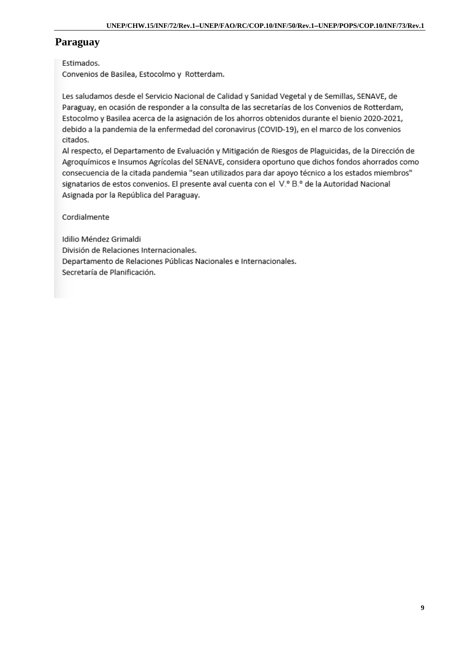# **Paraguay**

### Estimados.

Convenios de Basilea, Estocolmo y Rotterdam.

Les saludamos desde el Servicio Nacional de Calidad y Sanidad Vegetal y de Semillas, SENAVE, de Paraguay, en ocasión de responder a la consulta de las secretarías de los Convenios de Rotterdam, Estocolmo y Basilea acerca de la asignación de los ahorros obtenidos durante el bienio 2020-2021, debido a la pandemia de la enfermedad del coronavirus (COVID-19), en el marco de los convenios citados.

Al respecto, el Departamento de Evaluación y Mitigación de Riesgos de Plaguicidas, de la Dirección de Agroquímicos e Insumos Agrícolas del SENAVE, considera oportuno que dichos fondos ahorrados como consecuencia de la citada pandemia "sean utilizados para dar apoyo técnico a los estados miembros" signatarios de estos convenios. El presente aval cuenta con el V.º B.º de la Autoridad Nacional Asignada por la República del Paraguay.

Cordialmente

Idilio Méndez Grimaldi División de Relaciones Internacionales. Departamento de Relaciones Públicas Nacionales e Internacionales. Secretaría de Planificación.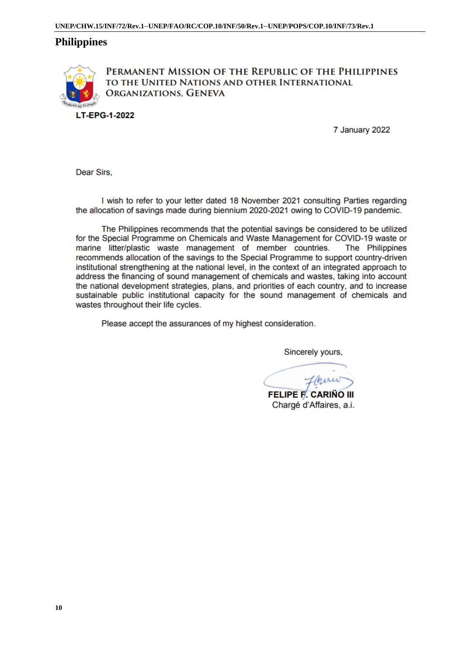### **Philippines**



PERMANENT MISSION OF THE REPUBLIC OF THE PHILIPPINES TO THE UNITED NATIONS AND OTHER INTERNATIONAL ORGANIZATIONS, GENEVA

7 January 2022

Dear Sirs.

I wish to refer to your letter dated 18 November 2021 consulting Parties regarding the allocation of savings made during biennium 2020-2021 owing to COVID-19 pandemic.

The Philippines recommends that the potential savings be considered to be utilized for the Special Programme on Chemicals and Waste Management for COVID-19 waste or marine litter/plastic waste management of member countries. The Philippines recommends allocation of the savings to the Special Programme to support country-driven institutional strengthening at the national level, in the context of an integrated approach to address the financing of sound management of chemicals and wastes, taking into account the national development strategies, plans, and priorities of each country, and to increase sustainable public institutional capacity for the sound management of chemicals and wastes throughout their life cycles.

Please accept the assurances of my highest consideration.

Sincerely yours,

**FELIPE F. CARIÑO III** Chargé d'Affaires, a.i.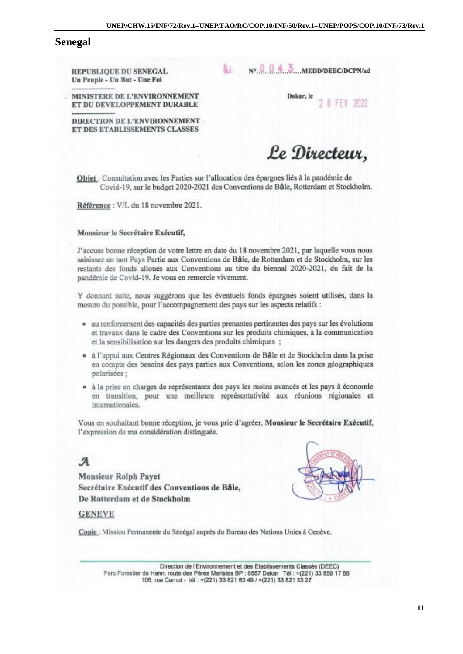#### **Senegal**

REPUBLIOUE DU SENEGAL Un Peuple - Un But - Une Foi

 $N^{\circ}$  0 0 4 3 MEDD/DEEC/DCPN/ad

MINISTERE DE L'ENVIRONNEMENT ET DU DEVELOPPEMENT DURABLE Dakar, le **B FFV 2022** 

DIRECTION DE L'ENVIRONNEMENT ET DES ETABLISSEMENTS CLASSES

Le Directeur,

Objet : Consultation avec les Parties sur l'allocation des épargnes liés à la pandémie de Covid-19, sur le budget 2020-2021 des Conventions de Bâle, Rotterdam et Stockholm.

Référence : V/L du 18 novembre 2021.

#### Monsieur le Secrétaire Exécutif,

J'accuse bonne réception de votre lettre en date du 18 novembre 2021, par laquelle vous nous saisissez en tant Pays Partie aux Conventions de Bâle, de Rotterdam et de Stockholm, sur les restants des fonds alloués aux Conventions au titre du biennal 2020-2021, du fait de la pandémie de Covid-19. Je vous en remercie vivement.

Y donnant suite, nous suggérons que les éventuels fonds épargnés soient utilisés, dans la mesure du possible, pour l'accompagnement des pays sur les aspects relatifs :

- · au renforcement des capacités des parties prenantes pertinentes des pays sur les évolutions et travaux dans le cadre des Conventions sur les produits chimiques, à la communication et la sensibilisation sur les dangers des produits chimiques ;
- · à l'appui aux Centres Régionaux des Conventions de Bâle et de Stockholm dans la prise en compte des besoins des pays parties aux Conventions, selon les zones géographiques polarisées :
- · à la prise en charges de représentants des pays les moins avancés et les pays à économie en transition, pour une meilleure représentativité aux réunions régionales et internationales.

Vous en souhaitant bonne réception, je vous prie d'agréer, Monsieur le Secrétaire Exécutif, l'expression de ma considération distinguée.

# $\mathcal{A}$

**Monsieur Rolph Payet** Secrétaire Exécutif des Conventions de Bâle, De Rotterdam et de Stockholm



#### **GENEVE**

Copie : Mission Permanente du Sénégal auprès du Bureau des Nations Unies à Genève.

Direction de l'Environnement et des Etablissements Classés (DEEC) Parc Forestier de Hann, route des Pères Maristes BP : 6557 Dakar Tél : +(221) 33 859 17 58 106, rue Carnot - tél : +(221) 33 821 63 49 / +(221) 33 821 33 27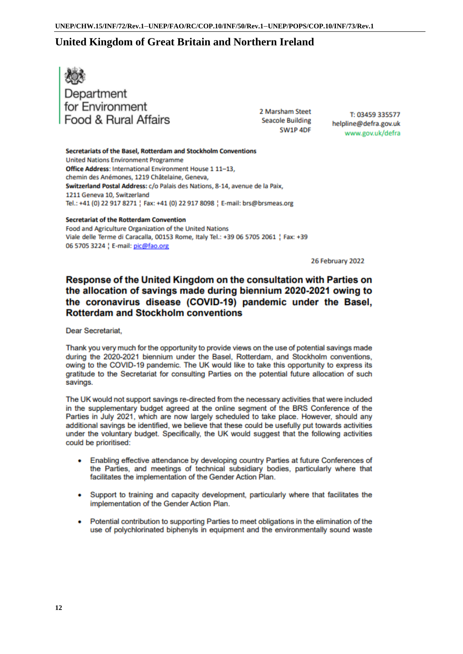## United Kingdom of Great Britain and Northern Ireland



2 Marsham Steet Seacole Building SW1P 4DF

T: 03459 335577 helpline@defra.gov.uk www.gov.uk/defra

Secretariats of the Basel, Rotterdam and Stockholm Conventions **United Nations Environment Programme** Office Address: International Environment House 1 11-13, chemin des Anémones, 1219 Châtelaine, Geneva, Switzerland Postal Address: c/o Palais des Nations, 8-14, avenue de la Paix, 1211 Geneva 10, Switzerland Tel.: +41 (0) 22 917 8271 | Fax: +41 (0) 22 917 8098 | E-mail: brs@brsmeas.org

#### **Secretariat of the Rotterdam Convention**

Food and Agriculture Organization of the United Nations Viale delle Terme di Caracalla, 00153 Rome, Italy Tel.: +39 06 5705 2061 ; Fax: +39 06 5705 3224 | E-mail: pic@fao.org

26 February 2022

### Response of the United Kingdom on the consultation with Parties on the allocation of savings made during biennium 2020-2021 owing to the coronavirus disease (COVID-19) pandemic under the Basel. **Rotterdam and Stockholm conventions**

Dear Secretariat.

Thank you very much for the opportunity to provide views on the use of potential savings made during the 2020-2021 biennium under the Basel, Rotterdam, and Stockholm conventions, owing to the COVID-19 pandemic. The UK would like to take this opportunity to express its gratitude to the Secretariat for consulting Parties on the potential future allocation of such savings.

The UK would not support savings re-directed from the necessary activities that were included in the supplementary budget agreed at the online segment of the BRS Conference of the Parties in July 2021, which are now largely scheduled to take place. However, should any additional savings be identified, we believe that these could be usefully put towards activities under the voluntary budget. Specifically, the UK would suggest that the following activities could be prioritised:

- Enabling effective attendance by developing country Parties at future Conferences of the Parties, and meetings of technical subsidiary bodies, particularly where that facilitates the implementation of the Gender Action Plan.
- Support to training and capacity development, particularly where that facilitates the implementation of the Gender Action Plan.
- Potential contribution to supporting Parties to meet obligations in the elimination of the use of polychlorinated biphenyls in equipment and the environmentally sound waste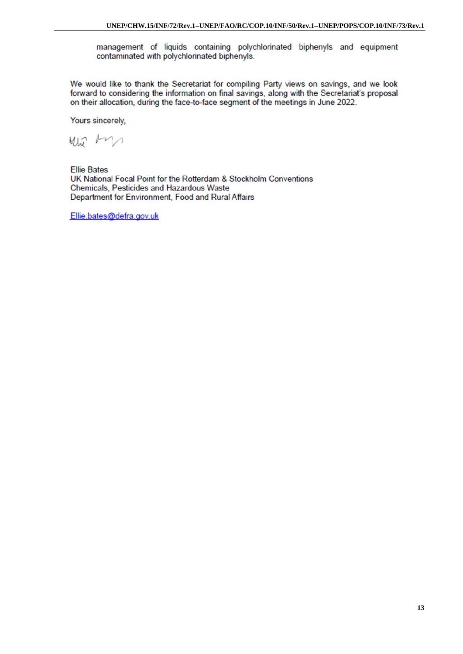management of liquids containing polychlorinated biphenyls and equipment contaminated with polychlorinated biphenyls.

We would like to thank the Secretariat for compiling Party views on savings, and we look forward to considering the information on final savings, along with the Secretariat's proposal on their allocation, during the face-to-face segment of the meetings in June 2022.

Yours sincerely,

Wir An

**Ellie Bates** UK National Focal Point for the Rotterdam & Stockholm Conventions Chemicals, Pesticides and Hazardous Waste Department for Environment, Food and Rural Affairs

Ellie.bates@defra.gov.uk